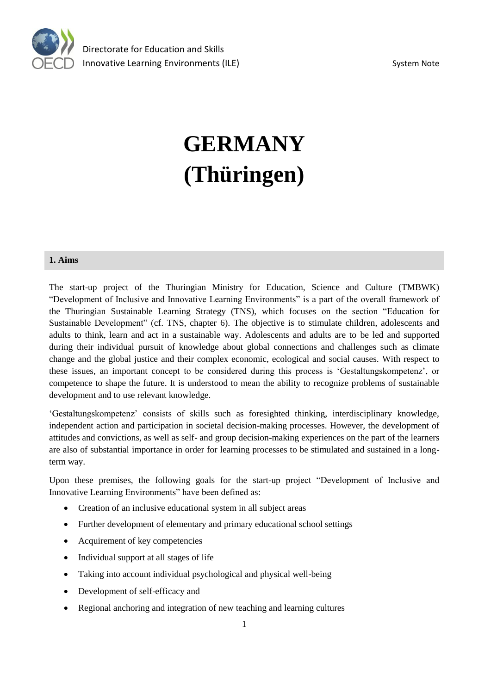

# **GERMANY (Thüringen)**

#### **1. Aims**

The start-up project of the Thuringian Ministry for Education, Science and Culture (TMBWK) "Development of Inclusive and Innovative Learning Environments" is a part of the overall framework of the Thuringian Sustainable Learning Strategy (TNS), which focuses on the section "Education for Sustainable Development" (cf. TNS, chapter 6). The objective is to stimulate children, adolescents and adults to think, learn and act in a sustainable way. Adolescents and adults are to be led and supported during their individual pursuit of knowledge about global connections and challenges such as climate change and the global justice and their complex economic, ecological and social causes. With respect to these issues*,* an important concept to be considered during this process is 'Gestaltungskompetenz', or competence to shape the future. It is understood to mean the ability to recognize problems of sustainable development and to use relevant knowledge.

'Gestaltungskompetenz' consists of skills such as foresighted thinking, interdisciplinary knowledge, independent action and participation in societal decision-making processes. However, the development of attitudes and convictions, as well as self- and group decision-making experiences on the part of the learners are also of substantial importance in order for learning processes to be stimulated and sustained in a longterm way.

Upon these premises, the following goals for the start-up project "Development of Inclusive and Innovative Learning Environments" have been defined as:

- Creation of an inclusive educational system in all subject areas
- Further development of elementary and primary educational school settings
- Acquirement of key competencies
- Individual support at all stages of life
- Taking into account individual psychological and physical well-being
- Development of self-efficacy and
- Regional anchoring and integration of new teaching and learning cultures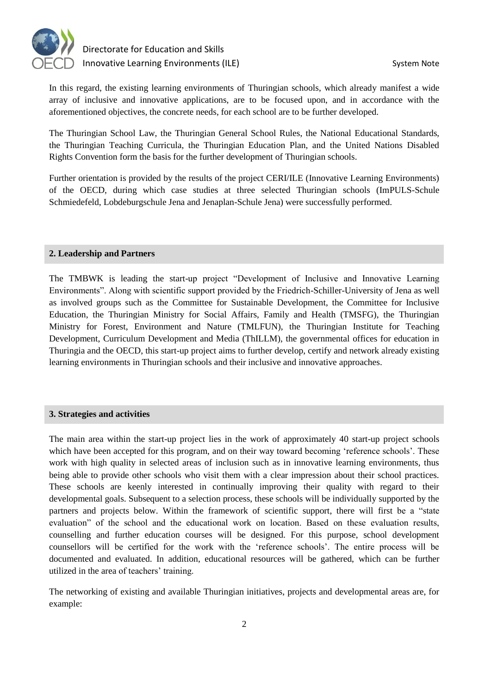

In this regard, the existing learning environments of Thuringian schools, which already manifest a wide array of inclusive and innovative applications, are to be focused upon, and in accordance with the aforementioned objectives, the concrete needs, for each school are to be further developed.

The Thuringian School Law, the Thuringian General School Rules, the National Educational Standards, the Thuringian Teaching Curricula, the Thuringian Education Plan, and the United Nations Disabled Rights Convention form the basis for the further development of Thuringian schools.

Further orientation is provided by the results of the project CERI/ILE (Innovative Learning Environments) of the OECD, during which case studies at three selected Thuringian schools (ImPULS-Schule Schmiedefeld, Lobdeburgschule Jena and Jenaplan-Schule Jena) were successfully performed.

#### **2. Leadership and Partners**

The TMBWK is leading the start-up project "Development of Inclusive and Innovative Learning Environments". Along with scientific support provided by the Friedrich-Schiller-University of Jena as well as involved groups such as the Committee for Sustainable Development, the Committee for Inclusive Education, the Thuringian Ministry for Social Affairs, Family and Health (TMSFG), the Thuringian Ministry for Forest, Environment and Nature (TMLFUN), the Thuringian Institute for Teaching Development, Curriculum Development and Media (ThILLM), the governmental offices for education in Thuringia and the OECD, this start-up project aims to further develop, certify and network already existing learning environments in Thuringian schools and their inclusive and innovative approaches.

## **3. Strategies and activities**

The main area within the start-up project lies in the work of approximately 40 start-up project schools which have been accepted for this program, and on their way toward becoming 'reference schools'. These work with high quality in selected areas of inclusion such as in innovative learning environments, thus being able to provide other schools who visit them with a clear impression about their school practices. These schools are keenly interested in continually improving their quality with regard to their developmental goals. Subsequent to a selection process, these schools will be individually supported by the partners and projects below. Within the framework of scientific support, there will first be a "state evaluation" of the school and the educational work on location. Based on these evaluation results, counselling and further education courses will be designed. For this purpose, school development counsellors will be certified for the work with the 'reference schools'. The entire process will be documented and evaluated. In addition, educational resources will be gathered, which can be further utilized in the area of teachers' training.

The networking of existing and available Thuringian initiatives, projects and developmental areas are, for example: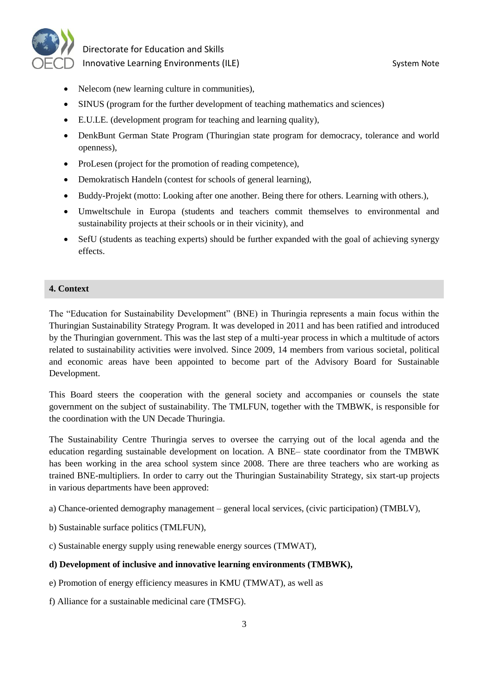

- Nelecom (new learning culture in communities),
- SINUS (program for the further development of teaching mathematics and sciences)
- E.U.LE. (development program for teaching and learning quality),
- DenkBunt German State Program (Thuringian state program for democracy, tolerance and world openness),
- ProLesen (project for the promotion of reading competence),
- Demokratisch Handeln (contest for schools of general learning),
- Buddy-Projekt (motto: Looking after one another. Being there for others. Learning with others.),
- Umweltschule in Europa (students and teachers commit themselves to environmental and sustainability projects at their schools or in their vicinity), and
- SefU (students as teaching experts) should be further expanded with the goal of achieving synergy effects.

#### **4. Context**

The "Education for Sustainability Development" (BNE) in Thuringia represents a main focus within the Thuringian Sustainability Strategy Program. It was developed in 2011 and has been ratified and introduced by the Thuringian government. This was the last step of a multi-year process in which a multitude of actors related to sustainability activities were involved. Since 2009, 14 members from various societal, political and economic areas have been appointed to become part of the Advisory Board for Sustainable Development.

This Board steers the cooperation with the general society and accompanies or counsels the state government on the subject of sustainability. The TMLFUN, together with the TMBWK, is responsible for the coordination with the UN Decade Thuringia.

The Sustainability Centre Thuringia serves to oversee the carrying out of the local agenda and the education regarding sustainable development on location. A BNE– state coordinator from the TMBWK has been working in the area school system since 2008. There are three teachers who are working as trained BNE-multipliers. In order to carry out the Thuringian Sustainability Strategy, six start-up projects in various departments have been approved:

a) Chance-oriented demography management – general local services, (civic participation) (TMBLV),

- b) Sustainable surface politics (TMLFUN),
- c) Sustainable energy supply using renewable energy sources (TMWAT),

#### **d) Development of inclusive and innovative learning environments (TMBWK),**

- e) Promotion of energy efficiency measures in KMU (TMWAT), as well as
- f) Alliance for a sustainable medicinal care (TMSFG).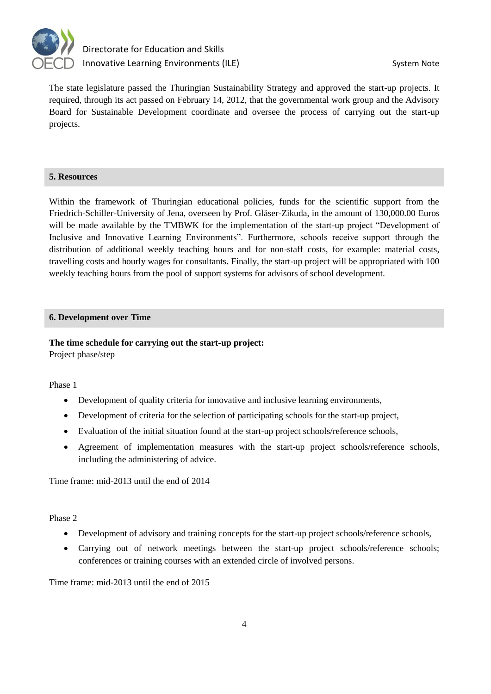

The state legislature passed the Thuringian Sustainability Strategy and approved the start-up projects. It required, through its act passed on February 14, 2012, that the governmental work group and the Advisory Board for Sustainable Development coordinate and oversee the process of carrying out the start-up projects.

## **5. Resources**

Within the framework of Thuringian educational policies, funds for the scientific support from the Friedrich-Schiller-University of Jena, overseen by Prof. Gläser-Zikuda, in the amount of 130,000.00 Euros will be made available by the TMBWK for the implementation of the start-up project "Development of Inclusive and Innovative Learning Environments". Furthermore, schools receive support through the distribution of additional weekly teaching hours and for non-staff costs, for example: material costs, travelling costs and hourly wages for consultants. Finally, the start-up project will be appropriated with 100 weekly teaching hours from the pool of support systems for advisors of school development.

## **6. Development over Time**

## **The time schedule for carrying out the start-up project:** Project phase/step

Phase 1

- Development of quality criteria for innovative and inclusive learning environments,
- Development of criteria for the selection of participating schools for the start-up project,
- Evaluation of the initial situation found at the start-up project schools/reference schools,
- Agreement of implementation measures with the start-up project schools/reference schools, including the administering of advice.

Time frame: mid-2013 until the end of 2014

Phase 2

- Development of advisory and training concepts for the start-up project schools/reference schools,
- Carrying out of network meetings between the start-up project schools/reference schools; conferences or training courses with an extended circle of involved persons.

Time frame: mid-2013 until the end of 2015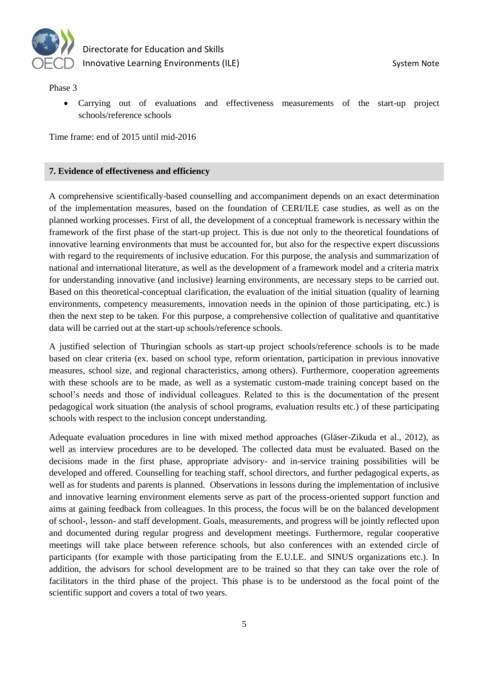

Phase 3

 Carrying out of evaluations and effectiveness measurements of the start-up project schools/reference schools

Time frame: end of 2015 until mid-2016

#### **7. Evidence of effectiveness and efficiency**

A comprehensive scientifically-based counselling and accompaniment depends on an exact determination of the implementation measures, based on the foundation of CERI/ILE case studies, as well as on the planned working processes. First of all, the development of a conceptual framework is necessary within the framework of the first phase of the start-up project. This is due not only to the theoretical foundations of innovative learning environments that must be accounted for, but also for the respective expert discussions with regard to the requirements of inclusive education. For this purpose, the analysis and summarization of national and international literature, as well as the development of a framework model and a criteria matrix for understanding innovative (and inclusive) learning environments, are necessary steps to be carried out. Based on this theoretical-conceptual clarification, the evaluation of the initial situation (quality of learning environments, competency measurements, innovation needs in the opinion of those participating, etc.) is then the next step to be taken. For this purpose, a comprehensive collection of qualitative and quantitative data will be carried out at the start-up schools/reference schools.

A justified selection of Thuringian schools as start-up project schools/reference schools is to be made based on clear criteria (ex. based on school type, reform orientation, participation in previous innovative measures, school size, and regional characteristics, among others). Furthermore, cooperation agreements with these schools are to be made, as well as a systematic custom-made training concept based on the school's needs and those of individual colleagues. Related to this is the documentation of the present pedagogical work situation (the analysis of school programs, evaluation results etc.) of these participating schools with respect to the inclusion concept understanding.

Adequate evaluation procedures in line with mixed method approaches (Gläser-Zikuda et al., 2012), as well as interview procedures are to be developed. The collected data must be evaluated. Based on the decisions made in the first phase, appropriate advisory- and in-service training possibilities will be developed and offered. Counselling for teaching staff, school directors, and further pedagogical experts, as well as for students and parents is planned. Observations in lessons during the implementation of inclusive and innovative learning environment elements serve as part of the process-oriented support function and aims at gaining feedback from colleagues. In this process, the focus will be on the balanced development of school-, lesson- and staff development. Goals, measurements, and progress will be jointly reflected upon and documented during regular progress and development meetings. Furthermore, regular cooperative meetings will take place between reference schools, but also conferences with an extended circle of participants (for example with those participating from the E.U.LE. and SINUS organizations etc.). In addition, the advisors for school development are to be trained so that they can take over the role of facilitators in the third phase of the project. This phase is to be understood as the focal point of the scientific support and covers a total of two years.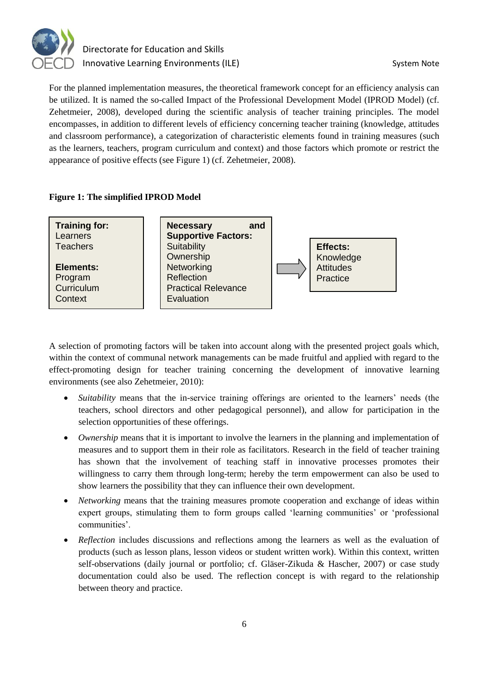

For the planned implementation measures, the theoretical framework concept for an efficiency analysis can be utilized. It is named the so-called Impact of the Professional Development Model (IPROD Model) (cf. Zehetmeier, 2008), developed during the scientific analysis of teacher training principles. The model encompasses, in addition to different levels of efficiency concerning teacher training (knowledge, attitudes and classroom performance), a categorization of characteristic elements found in training measures (such as the learners, teachers, program curriculum and context) and those factors which promote or restrict the appearance of positive effects (see Figure 1) (cf. Zehetmeier, 2008).

## **Figure 1: The simplified IPROD Model**



A selection of promoting factors will be taken into account along with the presented project goals which, within the context of communal network managements can be made fruitful and applied with regard to the effect-promoting design for teacher training concerning the development of innovative learning environments (see also Zehetmeier, 2010):

- *Suitability* means that the in-service training offerings are oriented to the learners' needs (the teachers, school directors and other pedagogical personnel), and allow for participation in the selection opportunities of these offerings.
- *Ownership* means that it is important to involve the learners in the planning and implementation of measures and to support them in their role as facilitators. Research in the field of teacher training has shown that the involvement of teaching staff in innovative processes promotes their willingness to carry them through long-term; hereby the term empowerment can also be used to show learners the possibility that they can influence their own development.
- *Networking* means that the training measures promote cooperation and exchange of ideas within expert groups, stimulating them to form groups called 'learning communities' or 'professional communities'.
- *Reflection* includes discussions and reflections among the learners as well as the evaluation of products (such as lesson plans, lesson videos or student written work). Within this context, written self-observations (daily journal or portfolio; cf. Gläser-Zikuda & Hascher, 2007) or case study documentation could also be used. The reflection concept is with regard to the relationship between theory and practice.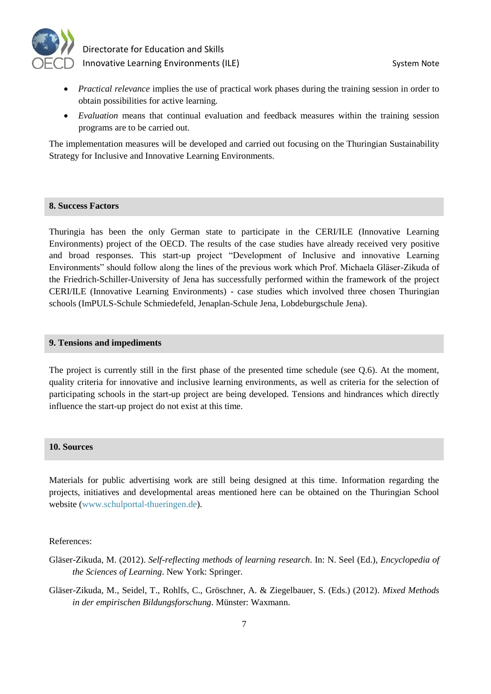

- *Practical relevance* implies the use of practical work phases during the training session in order to obtain possibilities for active learning.
- *Evaluation* means that continual evaluation and feedback measures within the training session programs are to be carried out.

The implementation measures will be developed and carried out focusing on the Thuringian Sustainability Strategy for Inclusive and Innovative Learning Environments.

#### **8. Success Factors**

Thuringia has been the only German state to participate in the CERI/ILE (Innovative Learning Environments) project of the OECD. The results of the case studies have already received very positive and broad responses. This start-up project "Development of Inclusive and innovative Learning Environments" should follow along the lines of the previous work which Prof. Michaela Gläser-Zikuda of the Friedrich-Schiller-University of Jena has successfully performed within the framework of the project CERI/ILE (Innovative Learning Environments) - case studies which involved three chosen Thuringian schools (ImPULS-Schule Schmiedefeld, Jenaplan-Schule Jena, Lobdeburgschule Jena).

#### **9. Tensions and impediments**

The project is currently still in the first phase of the presented time schedule (see Q.6). At the moment, quality criteria for innovative and inclusive learning environments, as well as criteria for the selection of participating schools in the start-up project are being developed. Tensions and hindrances which directly influence the start-up project do not exist at this time.

#### **10. Sources**

Materials for public advertising work are still being designed at this time. Information regarding the projects, initiatives and developmental areas mentioned here can be obtained on the Thuringian School website [\(www.schulportal-thueringen.de\)](http://www.schulportal-thueringen.de/).

References:

- Gläser-Zikuda, M. (2012). *Self-reflecting methods of learning research*. In: N. Seel (Ed.), *Encyclopedia of the Sciences of Learning*. New York: Springer.
- Gläser-Zikuda, M., Seidel, T., Rohlfs, C., Gröschner, A. & Ziegelbauer, S. (Eds.) (2012). *Mixed Methods in der empirischen Bildungsforschung*. Münster: Waxmann.